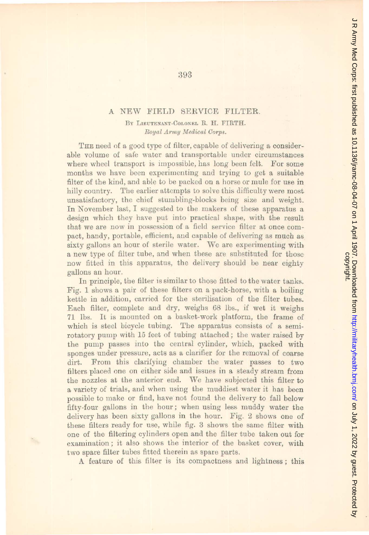## A NEW FIELD SERVICE FILTER.

BY LIEUTENANT-COLONEL R. H. FIRTH.  $Royal Army Medical Corps.$ 

THE need of a good type of filter, capable of delivering a considerable volume of safe water and transportable under circumstances where wheel transport is impossible, has long been felt. For some months we have been experimenting and trying to get a suitable filter of the kind, and able to be packed on a horse or mule for use in hilly country. The earlier attempts to solve this difficulty were most unsatisfactory, thc chief stumbling-blocks being size and weight. In November last, I suggested to the makers of these apparatus a design which they have put into practical shape, with the result that we are now in possession of a field service filter at once compact, handy, portable, eflicient, and capable of delivering as much as sixty gallons an hour of sterile water. We are experimenting with a new type of filter tube, and when these are substituted for those now fitted in this apparatus, the delivery should be near eighty gallons an hour.

In principle, the filter is similar to those fitted to the water tanks. Fig. 1 shows a pair of these filters on a pack-horse, with a boiling kettle in addition, carried for the sterilisation of the filter tubes. Each filter, complete and dry, weighs 68 lbs., if wet it weighs 71 Ibs. It is mounted on a basket-work platform, tbe frame of which is steel bicycle tubing. The apparatus consists of a semirotatory pump with 15 feet of tubing attached; the water raised by the pump passes into the central cylinder, which, packed with sponges under pressure, acts as a clarifier for the removal of coarse dirt. From this clarifying chamber the water passes to two filters placed one on either side and issues in a steady stream from the nozzles at the anterior end. We have subjected this filter to a variety of trials, and when using the muddiest water it has been possible to make or find, have not found the delivery to fall below fifty·four gallons in the hour; when using less muddy water the delivery has been sixty gallons in the hour. Fig. 2 shows one of these filters ready for use, while fig. 3 shows the same filter with one of the filtering cylinders open and the filter tube taken out for examination; it also shows the interior of the basket cover, with two spare filter tubes fitted therein as spare parts.

A feature of this filter is its compactness and lightness; this

393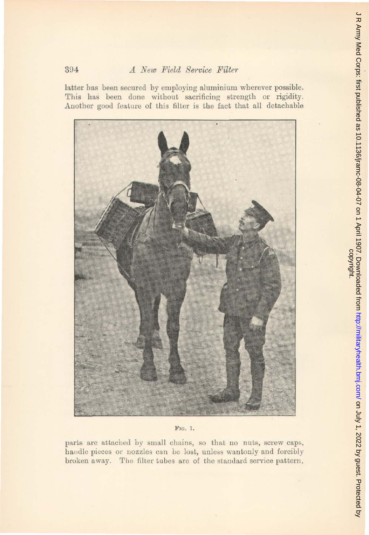## A New Field Service Filter

394

latter has been secured by employing aluminium wherever possible. This has been done without sacrificing strength or rigidity. Another good feature of this filter is the fact that all detachable



FIG. 1.

parts are attached by small chains, so that no nuts, screw caps, handle pieces or nozzles can be lost, unless wantonly and forcibly broken away. The filter tubes are of the standard service pattern,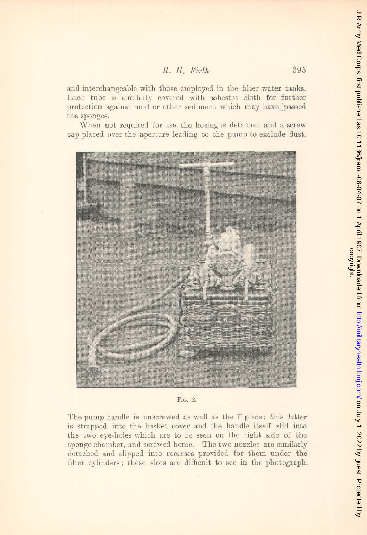*R. H. Fh·th* 395

and interchangeable with those employed in the filter water tanks. Each tube is similarly covered with asbestos cloth for further protection against mud or other sediment which may have passed **the sponges.** 

When not required for use, the hosing is detached and a screw cap placed over the aperture leading to the pump to exclude dust.



FIG. 2.

The pump handle is unscrewed as well as the T piece; this latter is strapped into the basket cover and the handle itself slid into the two eye-holes which are to be seen on the right side of the **sponge chamber, and screwed home.** The two nozzles are similarly detached and slipped into recesses provided for them under the filter cylinders; these slots are difficult to see in the photograph.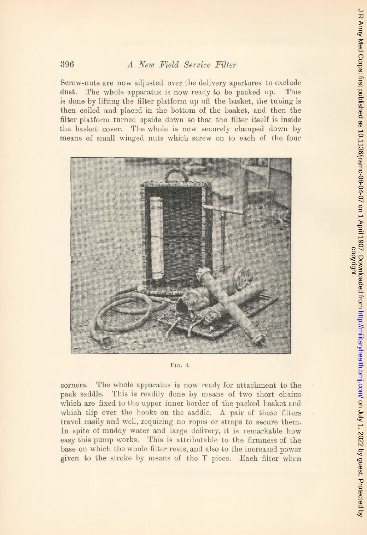Screw-nuts are now adjusted over the delivery apertures to exclude dust. The whole apparatus is now ready to be packed up. This is done by lifting the filter platform up off the basket, the tubing is then coiled and placed in the bottom of the basket, and then the filter platform turned upside down so that the filter itself is inside the hasket cover. The whole is now securely clamped down by means of small winged nuts which screw on to each of the four



J R Army Med Corps: first published as 10.1136/jramc-08-04-07 on 1 April 1907. Downloaded from http://militaryhealth.bmj.com/ on July 1, 2022 by guest. Protected by<br>copyright. on July 1, 2022 by guest. Protected by <http://militaryhealth.bmj.com/> J R Army Med Corps: first published as 10.1136/jramc-08-04-07 on 1 April 1907. Downloaded from

F<sub>IG</sub>. 3.

corners. The whole apparatus is now ready for attachment to the pack saddle. This is readily done by means of two short chains wbich are fixed to the upper inner border of the packed basket and which slip over the hooks on the saddle. A pair of these filters travel easily and well, requiring no ropes or straps to secure them. In spite of muddy water and large delivery, it is remarkable how easy this pump works. This is attributable to the firmness of the base on which the whole filter rests, and also to the increased power given to the stroke by means of the T piece. Each filter when